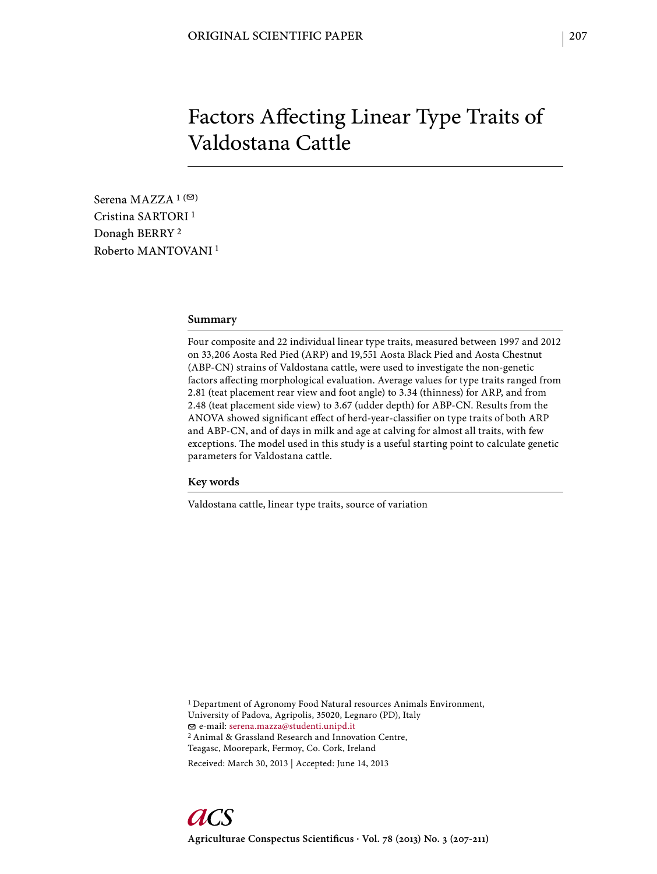# Factors Affecting Linear Type Traits of Valdostana Cattle

Serena MAZZA  $1$  ( $\heartsuit$ ) Cristina SARTORI 1 Donagh BERRY 2 Roberto MANTOVANI 1

## **Summary**

Four composite and 22 individual linear type traits, measured between 1997 and 2012 on 33,206 Aosta Red Pied (ARP) and 19,551 Aosta Black Pied and Aosta Chestnut (ABP-CN) strains of Valdostana cattle, were used to investigate the non-genetic factors affecting morphological evaluation. Average values for type traits ranged from 2.81 (teat placement rear view and foot angle) to 3.34 (thinness) for ARP, and from 2.48 (teat placement side view) to 3.67 (udder depth) for ABP-CN. Results from the ANOVA showed significant effect of herd-year-classifier on type traits of both ARP and ABP-CN, and of days in milk and age at calving for almost all traits, with few exceptions. The model used in this study is a useful starting point to calculate genetic parameters for Valdostana cattle.

#### **Key words**

Valdostana cattle, linear type traits, source of variation

<sup>1</sup> Department of Agronomy Food Natural resources Animals Environment, University of Padova, Agripolis, 35020, Legnaro (PD), Italy e-mail: serena.mazza@studenti.unipd.it 2 Animal & Grassland Research and Innovation Centre, Teagasc, Moorepark, Fermoy, Co. Cork, Ireland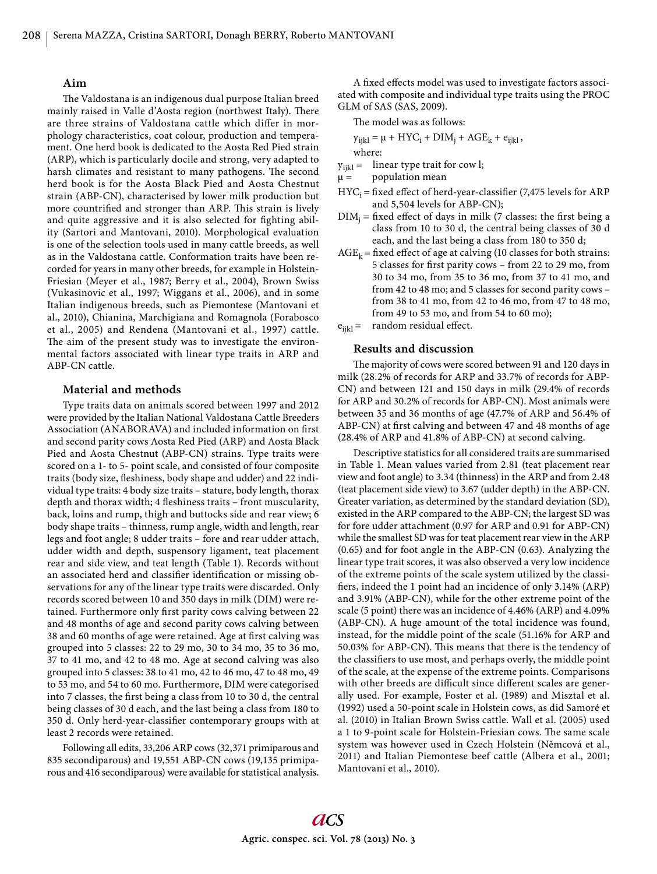### **Aim**

The Valdostana is an indigenous dual purpose Italian breed mainly raised in Valle d'Aosta region (northwest Italy). There are three strains of Valdostana cattle which differ in morphology characteristics, coat colour, production and temperament. One herd book is dedicated to the Aosta Red Pied strain (ARP), which is particularly docile and strong, very adapted to harsh climates and resistant to many pathogens. The second herd book is for the Aosta Black Pied and Aosta Chestnut strain (ABP-CN), characterised by lower milk production but more countrified and stronger than ARP. This strain is lively and quite aggressive and it is also selected for fighting ability (Sartori and Mantovani, 2010). Morphological evaluation is one of the selection tools used in many cattle breeds, as well as in the Valdostana cattle. Conformation traits have been recorded for years in many other breeds, for example in Holstein-Friesian (Meyer et al., 1987; Berry et al., 2004), Brown Swiss (Vukasinovic et al., 1997; Wiggans et al., 2006), and in some Italian indigenous breeds, such as Piemontese (Mantovani et al., 2010), Chianina, Marchigiana and Romagnola (Forabosco et al., 2005) and Rendena (Mantovani et al., 1997) cattle. The aim of the present study was to investigate the environmental factors associated with linear type traits in ARP and ABP-CN cattle.

### **Material and methods**

Type traits data on animals scored between 1997 and 2012 were provided by the Italian National Valdostana Cattle Breeders Association (ANABORAVA) and included information on first and second parity cows Aosta Red Pied (ARP) and Aosta Black Pied and Aosta Chestnut (ABP-CN) strains. Type traits were scored on a 1- to 5- point scale, and consisted of four composite traits (body size, fleshiness, body shape and udder) and 22 individual type traits: 4 body size traits – stature, body length, thorax depth and thorax width; 4 fleshiness traits - front muscularity, back, loins and rump, thigh and buttocks side and rear view; 6 body shape traits – thinness, rump angle, width and length, rear legs and foot angle; 8 udder traits – fore and rear udder attach, udder width and depth, suspensory ligament, teat placement rear and side view, and teat length (Table 1). Records without an associated herd and classifier identification or missing observations for any of the linear type traits were discarded. Only records scored between 10 and 350 days in milk (DIM) were retained. Furthermore only first parity cows calving between 22 and 48 months of age and second parity cows calving between 38 and 60 months of age were retained. Age at first calving was grouped into 5 classes: 22 to 29 mo, 30 to 34 mo, 35 to 36 mo, 37 to 41 mo, and 42 to 48 mo. Age at second calving was also grouped into 5 classes: 38 to 41 mo, 42 to 46 mo, 47 to 48 mo, 49 to 53 mo, and 54 to 60 mo. Furthermore, DIM were categorised into 7 classes, the first being a class from 10 to 30 d, the central being classes of 30 d each, and the last being a class from 180 to 350 d. Only herd-year-classifier contemporary groups with at least 2 records were retained.

Following all edits, 33,206 ARP cows (32,371 primiparous and 835 secondiparous) and 19,551 ABP-CN cows (19,135 primiparous and 416 secondiparous) were available for statistical analysis.

A fixed effects model was used to investigate factors associated with composite and individual type traits using the PROC GLM of SAS (SAS, 2009).

The model was as follows:

$$
y_{ijkl} = \mu + HYC_i + DIM_j + AGE_k + e_{ijkl},
$$
  
where:

 $y_{ijkl}$  = linear type trait for cow l;

 $\mu =$  population mean

- $HYC_i = fixed effect of herd-year-classifier (7,475 levels for ARP)$ and 5,504 levels for ABP-CN);
- $DIM_i$  = fixed effect of days in milk (7 classes: the first being a class from 10 to 30 d, the central being classes of 30 d each, and the last being a class from 180 to 350 d;
- $AGE_k = fixed$  effect of age at calving (10 classes for both strains: 5 classes for first parity cows - from 22 to 29 mo, from 30 to 34 mo, from 35 to 36 mo, from 37 to 41 mo, and from 42 to 48 mo; and 5 classes for second parity cows – from 38 to 41 mo, from 42 to 46 mo, from 47 to 48 mo, from 49 to 53 mo, and from 54 to 60 mo);  $e_{ijkl}$  = random residual effect.

## **Results and discussion**

The majority of cows were scored between 91 and 120 days in milk (28.2% of records for ARP and 33.7% of records for ABP-CN) and between 121 and 150 days in milk (29.4% of records for ARP and 30.2% of records for ABP-CN). Most animals were between 35 and 36 months of age (47.7% of ARP and 56.4% of ABP-CN) at first calving and between 47 and 48 months of age (28.4% of ARP and 41.8% of ABP-CN) at second calving.

Descriptive statistics for all considered traits are summarised in Table 1. Mean values varied from 2.81 (teat placement rear view and foot angle) to 3.34 (thinness) in the ARP and from 2.48 (teat placement side view) to 3.67 (udder depth) in the ABP-CN. Greater variation, as determined by the standard deviation (SD), existed in the ARP compared to the ABP-CN; the largest SD was for fore udder attachment (0.97 for ARP and 0.91 for ABP-CN) while the smallest SD was for teat placement rear view in the ARP (0.65) and for foot angle in the ABP-CN (0.63). Analyzing the linear type trait scores, it was also observed a very low incidence of the extreme points of the scale system utilized by the classifiers, indeed the 1 point had an incidence of only 3.14% (ARP) and 3.91% (ABP-CN), while for the other extreme point of the scale (5 point) there was an incidence of 4.46% (ARP) and 4.09% (ABP-CN). A huge amount of the total incidence was found, instead, for the middle point of the scale (51.16% for ARP and 50.03% for ABP-CN). This means that there is the tendency of the classifiers to use most, and perhaps overly, the middle point of the scale, at the expense of the extreme points. Comparisons with other breeds are difficult since different scales are generally used. For example, Foster et al. (1989) and Misztal et al. (1992) used a 50-point scale in Holstein cows, as did Samoré et al. (2010) in Italian Brown Swiss cattle. Wall et al. (2005) used a 1 to 9-point scale for Holstein-Friesian cows. The same scale system was however used in Czech Holstein (Němcová et al., 2011) and Italian Piemontese beef cattle (Albera et al., 2001; Mantovani et al., 2010).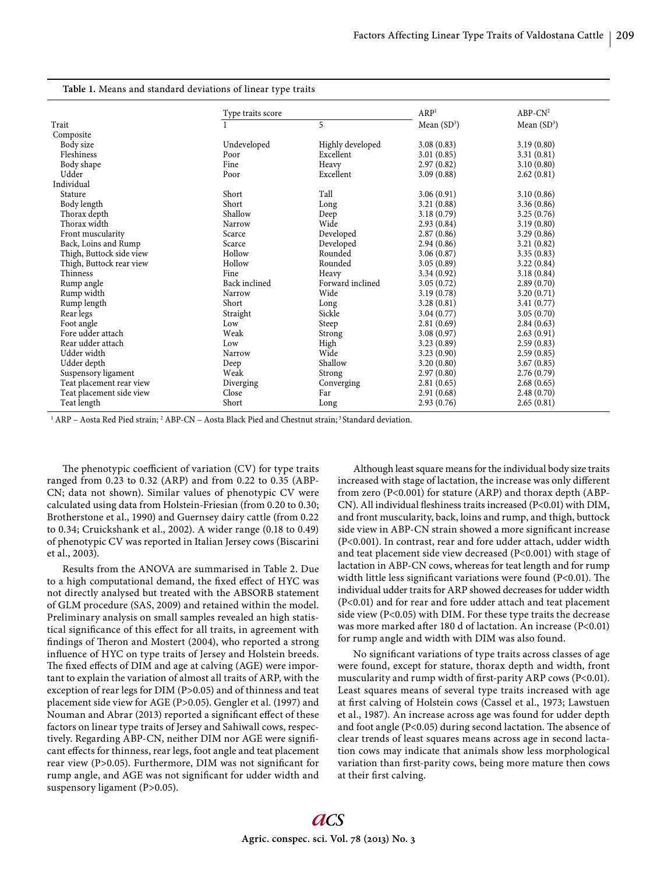| Table 1. Means and standard deviations of linear type traits |  |
|--------------------------------------------------------------|--|
|--------------------------------------------------------------|--|

|                          | Type traits score |                  | ARP <sup>1</sup> | $ABP-CN^2$    |
|--------------------------|-------------------|------------------|------------------|---------------|
| Trait                    |                   | 5                | Mean $(SD^3)$    | Mean $(SD^3)$ |
| Composite                |                   |                  |                  |               |
| Body size                | Undeveloped       | Highly developed | 3.08(0.83)       | 3.19(0.80)    |
| Fleshiness               | Poor              | Excellent        | 3.01(0.85)       | 3.31(0.81)    |
| Body shape               | Fine              | Heavy            | 2.97(0.82)       | 3.10(0.80)    |
| Udder                    | Poor              | Excellent        | 3.09(0.88)       | 2.62(0.81)    |
| Individual               |                   |                  |                  |               |
| Stature                  | Short             | Tall             | 3.06(0.91)       | 3.10(0.86)    |
| Body length              | Short             | Long             | 3.21(0.88)       | 3.36(0.86)    |
| Thorax depth             | Shallow           | Deep             | 3.18(0.79)       | 3.25(0.76)    |
| Thorax width             | Narrow            | Wide             | 2.93(0.84)       | 3.19(0.80)    |
| Front muscularity        | Scarce            | Developed        | 2.87(0.86)       | 3.29(0.86)    |
| Back, Loins and Rump     | Scarce            | Developed        | 2.94(0.86)       | 3.21(0.82)    |
| Thigh, Buttock side view | Hollow            | Rounded          | 3.06(0.87)       | 3.35(0.83)    |
| Thigh, Buttock rear view | Hollow            | Rounded          | 3.05(0.89)       | 3.22(0.84)    |
| Thinness                 | Fine              | Heavy            | 3.34(0.92)       | 3.18(0.84)    |
| Rump angle               | Back inclined     | Forward inclined | 3.05(0.72)       | 2.89(0.70)    |
| Rump width               | Narrow            | Wide             | 3.19(0.78)       | 3.20(0.71)    |
| Rump length              | Short             | Long             | 3.28(0.81)       | 3.41(0.77)    |
| Rear legs                | Straight          | Sickle           | 3.04(0.77)       | 3.05(0.70)    |
| Foot angle               | Low               | Steep            | 2.81(0.69)       | 2.84(0.63)    |
| Fore udder attach        | Weak              | Strong           | 3.08(0.97)       | 2.63(0.91)    |
| Rear udder attach        | Low               | High             | 3.23(0.89)       | 2.59(0.83)    |
| Udder width              | Narrow            | Wide             | 3.23(0.90)       | 2.59(0.85)    |
| Udder depth              | Deep              | Shallow          | 3.20(0.80)       | 3.67(0.85)    |
| Suspensory ligament      | Weak              | Strong           | 2.97(0.80)       | 2.76(0.79)    |
| Teat placement rear view | Diverging         | Converging       | 2.81(0.65)       | 2.68(0.65)    |
| Teat placement side view | Close             | Far              | 2.91(0.68)       | 2.48(0.70)    |
| Teat length              | Short             | Long             | 2.93(0.76)       | 2.65(0.81)    |

<sup>1</sup> ARP – Aosta Red Pied strain; <sup>2</sup> ABP-CN – Aosta Black Pied and Chestnut strain; <sup>3</sup> Standard deviation.

The phenotypic coefficient of variation (CV) for type traits ranged from 0.23 to 0.32 (ARP) and from 0.22 to 0.35 (ABP-CN; data not shown). Similar values of phenotypic CV were calculated using data from Holstein-Friesian (from 0.20 to 0.30; Brotherstone et al., 1990) and Guernsey dairy cattle (from 0.22 to 0.34; Cruickshank et al., 2002). A wider range (0.18 to 0.49) of phenotypic CV was reported in Italian Jersey cows (Biscarini et al., 2003).

Results from the ANOVA are summarised in Table 2. Due to a high computational demand, the fixed effect of HYC was not directly analysed but treated with the ABSORB statement of GLM procedure (SAS, 2009) and retained within the model. Preliminary analysis on small samples revealed an high statistical significance of this effect for all traits, in agreement with findings of Theron and Mostert (2004), who reported a strong influence of HYC on type traits of Jersey and Holstein breeds. The fixed effects of DIM and age at calving (AGE) were important to explain the variation of almost all traits of ARP, with the exception of rear legs for DIM (P>0.05) and of thinness and teat placement side view for AGE (P>0.05). Gengler et al. (1997) and Nouman and Abrar (2013) reported a significant effect of these factors on linear type traits of Jersey and Sahiwall cows, respectively. Regarding ABP-CN, neither DIM nor AGE were significant effects for thinness, rear legs, foot angle and teat placement rear view (P>0.05). Furthermore, DIM was not significant for rump angle, and AGE was not significant for udder width and suspensory ligament (P>0.05).

Although least square means for the individual body size traits increased with stage of lactation, the increase was only different from zero (P<0.001) for stature (ARP) and thorax depth (ABP-CN). All individual fleshiness traits increased (P<0.01) with DIM, and front muscularity, back, loins and rump, and thigh, buttock side view in ABP-CN strain showed a more significant increase (P<0.001). In contrast, rear and fore udder attach, udder width and teat placement side view decreased (P<0.001) with stage of lactation in ABP-CN cows, whereas for teat length and for rump width little less significant variations were found (P<0.01). The individual udder traits for ARP showed decreases for udder width (P<0.01) and for rear and fore udder attach and teat placement side view (P<0.05) with DIM. For these type traits the decrease was more marked after 180 d of lactation. An increase (P<0.01) for rump angle and width with DIM was also found.

No significant variations of type traits across classes of age were found, except for stature, thorax depth and width, front muscularity and rump width of first-parity ARP cows (P<0.01). Least squares means of several type traits increased with age at first calving of Holstein cows (Cassel et al., 1973; Lawstuen et al., 1987). An increase across age was found for udder depth and foot angle  $(P<0.05)$  during second lactation. The absence of clear trends of least squares means across age in second lactation cows may indicate that animals show less morphological variation than first-parity cows, being more mature then cows at their first calving.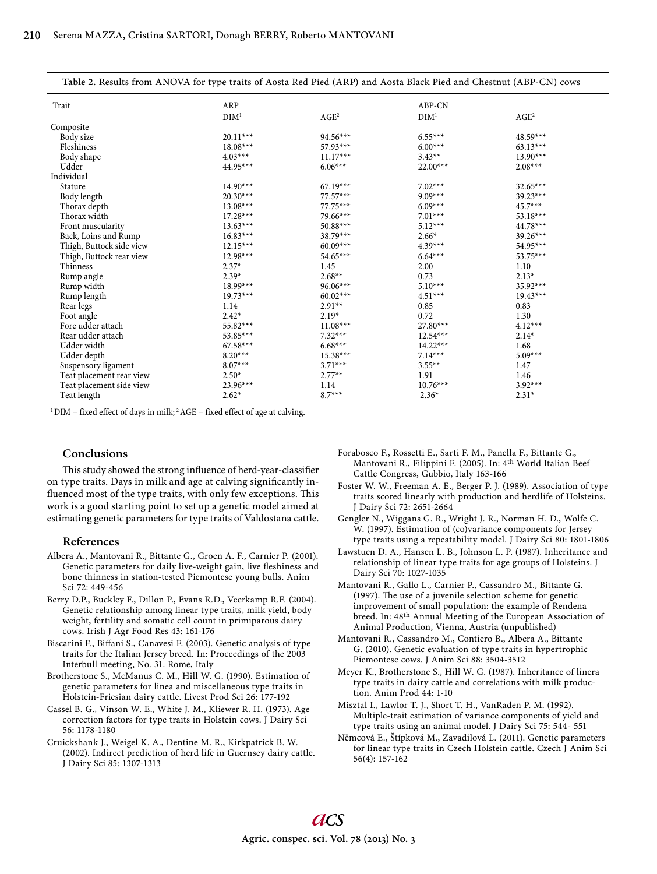| Trait                    | ARP              |                  | ABP-CN           |                  |  |
|--------------------------|------------------|------------------|------------------|------------------|--|
|                          |                  |                  |                  |                  |  |
|                          | DIM <sup>1</sup> | AGE <sup>2</sup> | DIM <sup>1</sup> | AGE <sup>2</sup> |  |
| Composite                |                  |                  |                  |                  |  |
| Body size                | $20.11***$       | $94.56***$       | $6.55***$        | $48.59***$       |  |
| Fleshiness               | $18.08***$       | 57.93***         | $6.00***$        | $63.13***$       |  |
| Body shape               | $4.03***$        | $11.17***$       | $3.43**$         | $13.90***$       |  |
| Udder                    | 44.95***         | $6.06***$        | $22.00***$       | $2.08***$        |  |
| Individual               |                  |                  |                  |                  |  |
| Stature                  | $14.90***$       | $67.19***$       | $7.02***$        | $32.65***$       |  |
| Body length              | $20.30***$       | $77.57***$       | $9.09***$        | $39.23***$       |  |
| Thorax depth             | $13.08***$       | $77.75***$       | $6.09***$        | $45.7***$        |  |
| Thorax width             | $17.28***$       | 79.66***         | $7.01***$        | $53.18***$       |  |
| Front muscularity        | $13.63***$       | $50.88***$       | $5.12***$        | $44.78***$       |  |
| Back, Loins and Rump     | $16.83***$       | 38.79***         | $2.66*$          | $39.26***$       |  |
| Thigh, Buttock side view | $12.15***$       | $60.09***$       | $4.39***$        | 54.95***         |  |
| Thigh, Buttock rear view | $12.98***$       | 54.65***         | $6.64***$        | $53.75***$       |  |
| Thinness                 | $2.37*$          | 1.45             | 2.00             | 1.10             |  |
| Rump angle               | $2.39*$          | $2.68**$         | 0.73             | $2.13*$          |  |
| Rump width               | $18.99***$       | $96.06***$       | $5.10***$        | 35.92***         |  |
| Rump length              | $19.73***$       | $60.02***$       | $4.51***$        | $19.43***$       |  |
| Rear legs                | 1.14             | $2.91**$         | 0.85             | 0.83             |  |
| Foot angle               | $2.42*$          | $2.19*$          | 0.72             | 1.30             |  |
| Fore udder attach        | $55.82***$       | $11.08***$       | $27.80***$       | $4.12***$        |  |
| Rear udder attach        | $53.85***$       | $7.32***$        | $12.54***$       | $2.14*$          |  |
| Udder width              | $67.58***$       | $6.68***$        | $14.22***$       | 1.68             |  |
| Udder depth              | $8.20***$        | $15.38***$       | $7.14***$        | $5.09***$        |  |
| Suspensory ligament      | $8.07***$        | $3.71***$        | $3.55**$         | 1.47             |  |
| Teat placement rear view | $2.50*$          | $2.77**$         | 1.91             | 1.46             |  |
| Teat placement side view | $23.96***$       | 1.14             | $10.76***$       | $3.92***$        |  |
| Teat length              | $2.62*$          | $8.7***$         | $2.36*$          | $2.31*$          |  |

**Table 2.** Results from ANOVA for type traits of Aosta Red Pied (ARP) and Aosta Black Pied and Chestnut (ABP-CN) cows

 $1$  DIM – fixed effect of days in milk;  $2$  AGE – fixed effect of age at calving.

#### **Conclusions**

This study showed the strong influence of herd-year-classifier on type traits. Days in milk and age at calving significantly influenced most of the type traits, with only few exceptions. This work is a good starting point to set up a genetic model aimed at estimating genetic parameters for type traits of Valdostana cattle.

#### **References**

- Albera A., Mantovani R., Bittante G., Groen A. F., Carnier P. (2001). Genetic parameters for daily live-weight gain, live fleshiness and bone thinness in station-tested Piemontese young bulls. Anim Sci 72: 449-456
- Berry D.P., Buckley F., Dillon P., Evans R.D., Veerkamp R.F. (2004). Genetic relationship among linear type traits, milk yield, body weight, fertility and somatic cell count in primiparous dairy cows. Irish J Agr Food Res 43: 161-176
- Biscarini F., Biffani S., Canavesi F. (2003). Genetic analysis of type traits for the Italian Jersey breed. In: Proceedings of the 2003 Interbull meeting, No. 31. Rome, Italy
- Brotherstone S., McManus C. M., Hill W. G. (1990). Estimation of genetic parameters for linea and miscellaneous type traits in Holstein-Friesian dairy cattle. Livest Prod Sci 26: 177-192
- Cassel B. G., Vinson W. E., White J. M., Kliewer R. H. (1973). Age correction factors for type traits in Holstein cows. J Dairy Sci 56: 1178-1180
- Cruickshank J., Weigel K. A., Dentine M. R., Kirkpatrick B. W. (2002). Indirect prediction of herd life in Guernsey dairy cattle. J Dairy Sci 85: 1307-1313
- Forabosco F., Rossetti E., Sarti F. M., Panella F., Bittante G., Mantovani R., Filippini F. (2005). In: 4th World Italian Beef Cattle Congress, Gubbio, Italy 163-166
- Foster W. W., Freeman A. E., Berger P. J. (1989). Association of type traits scored linearly with production and herdlife of Holsteins. J Dairy Sci 72: 2651-2664
- Gengler N., Wiggans G. R., Wright J. R., Norman H. D., Wolfe C. W. (1997). Estimation of (co)variance components for Jersey type traits using a repeatability model. J Dairy Sci 80: 1801-1806
- Lawstuen D. A., Hansen L. B., Johnson L. P. (1987). Inheritance and relationship of linear type traits for age groups of Holsteins. J Dairy Sci 70: 1027-1035
- Mantovani R., Gallo L., Carnier P., Cassandro M., Bittante G. (1997). The use of a juvenile selection scheme for genetic improvement of small population: the example of Rendena breed. In: 48th Annual Meeting of the European Association of Animal Production, Vienna, Austria (unpublished)
- Mantovani R., Cassandro M., Contiero B., Albera A., Bittante G. (2010). Genetic evaluation of type traits in hypertrophic Piemontese cows. J Anim Sci 88: 3504-3512
- Meyer K., Brotherstone S., Hill W. G. (1987). Inheritance of linera type traits in dairy cattle and correlations with milk production. Anim Prod 44: 1-10
- Misztal I., Lawlor T. J., Short T. H., VanRaden P. M. (1992). Multiple-trait estimation of variance components of yield and type traits using an animal model. J Dairy Sci 75: 544- 551
- Němcová E., Štípková M., Zavadilová L. (2011). Genetic parameters for linear type traits in Czech Holstein cattle. Czech J Anim Sci 56(4): 157-162